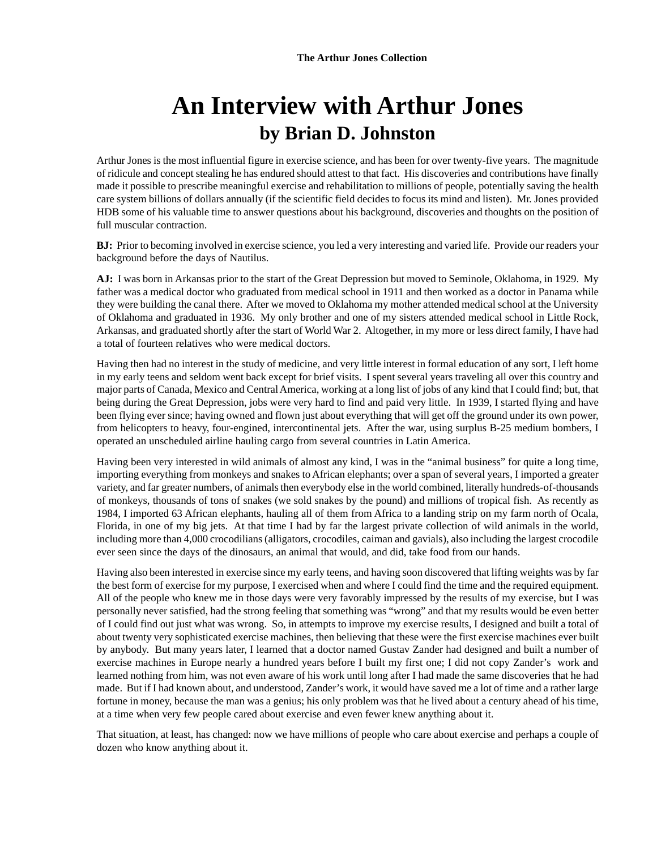# **An Interview with Arthur Jones by Brian D. Johnston**

Arthur Jones is the most influential figure in exercise science, and has been for over twenty-five years. The magnitude of ridicule and concept stealing he has endured should attest to that fact. His discoveries and contributions have finally made it possible to prescribe meaningful exercise and rehabilitation to millions of people, potentially saving the health care system billions of dollars annually (if the scientific field decides to focus its mind and listen). Mr. Jones provided HDB some of his valuable time to answer questions about his background, discoveries and thoughts on the position of full muscular contraction.

**BJ:** Prior to becoming involved in exercise science, you led a very interesting and varied life. Provide our readers your background before the days of Nautilus.

**AJ:** I was born in Arkansas prior to the start of the Great Depression but moved to Seminole, Oklahoma, in 1929. My father was a medical doctor who graduated from medical school in 1911 and then worked as a doctor in Panama while they were building the canal there. After we moved to Oklahoma my mother attended medical school at the University of Oklahoma and graduated in 1936. My only brother and one of my sisters attended medical school in Little Rock, Arkansas, and graduated shortly after the start of World War 2. Altogether, in my more or less direct family, I have had a total of fourteen relatives who were medical doctors.

Having then had no interest in the study of medicine, and very little interest in formal education of any sort, I left home in my early teens and seldom went back except for brief visits. I spent several years traveling all over this country and major parts of Canada, Mexico and Central America, working at a long list of jobs of any kind that I could find; but, that being during the Great Depression, jobs were very hard to find and paid very little. In 1939, I started flying and have been flying ever since; having owned and flown just about everything that will get off the ground under its own power, from helicopters to heavy, four-engined, intercontinental jets. After the war, using surplus B-25 medium bombers, I operated an unscheduled airline hauling cargo from several countries in Latin America.

Having been very interested in wild animals of almost any kind, I was in the "animal business" for quite a long time, importing everything from monkeys and snakes to African elephants; over a span of several years, I imported a greater variety, and far greater numbers, of animals then everybody else in the world combined, literally hundreds-of-thousands of monkeys, thousands of tons of snakes (we sold snakes by the pound) and millions of tropical fish. As recently as 1984, I imported 63 African elephants, hauling all of them from Africa to a landing strip on my farm north of Ocala, Florida, in one of my big jets. At that time I had by far the largest private collection of wild animals in the world, including more than 4,000 crocodilians (alligators, crocodiles, caiman and gavials), also including the largest crocodile ever seen since the days of the dinosaurs, an animal that would, and did, take food from our hands.

Having also been interested in exercise since my early teens, and having soon discovered that lifting weights was by far the best form of exercise for my purpose, I exercised when and where I could find the time and the required equipment. All of the people who knew me in those days were very favorably impressed by the results of my exercise, but I was personally never satisfied, had the strong feeling that something was "wrong" and that my results would be even better of I could find out just what was wrong. So, in attempts to improve my exercise results, I designed and built a total of about twenty very sophisticated exercise machines, then believing that these were the first exercise machines ever built by anybody. But many years later, I learned that a doctor named Gustav Zander had designed and built a number of exercise machines in Europe nearly a hundred years before I built my first one; I did not copy Zander's work and learned nothing from him, was not even aware of his work until long after I had made the same discoveries that he had made. But if I had known about, and understood, Zander's work, it would have saved me a lot of time and a rather large fortune in money, because the man was a genius; his only problem was that he lived about a century ahead of his time, at a time when very few people cared about exercise and even fewer knew anything about it.

That situation, at least, has changed: now we have millions of people who care about exercise and perhaps a couple of dozen who know anything about it.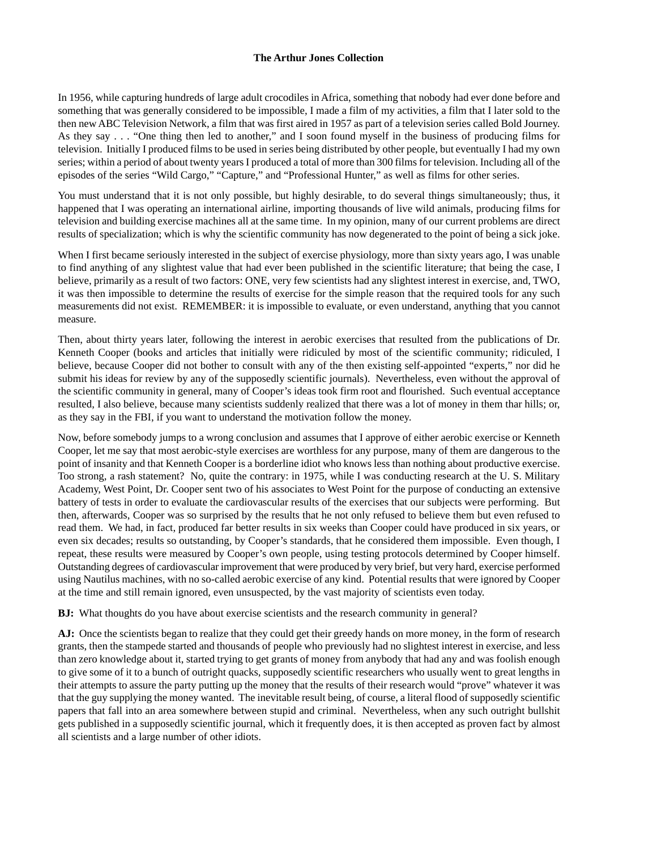In 1956, while capturing hundreds of large adult crocodiles in Africa, something that nobody had ever done before and something that was generally considered to be impossible, I made a film of my activities, a film that I later sold to the then new ABC Television Network, a film that was first aired in 1957 as part of a television series called Bold Journey. As they say . . . "One thing then led to another," and I soon found myself in the business of producing films for television. Initially I produced films to be used in series being distributed by other people, but eventually I had my own series; within a period of about twenty years I produced a total of more than 300 films for television. Including all of the episodes of the series "Wild Cargo," "Capture," and "Professional Hunter," as well as films for other series.

You must understand that it is not only possible, but highly desirable, to do several things simultaneously; thus, it happened that I was operating an international airline, importing thousands of live wild animals, producing films for television and building exercise machines all at the same time. In my opinion, many of our current problems are direct results of specialization; which is why the scientific community has now degenerated to the point of being a sick joke.

When I first became seriously interested in the subject of exercise physiology, more than sixty years ago, I was unable to find anything of any slightest value that had ever been published in the scientific literature; that being the case, I believe, primarily as a result of two factors: ONE, very few scientists had any slightest interest in exercise, and, TWO, it was then impossible to determine the results of exercise for the simple reason that the required tools for any such measurements did not exist. REMEMBER: it is impossible to evaluate, or even understand, anything that you cannot measure.

Then, about thirty years later, following the interest in aerobic exercises that resulted from the publications of Dr. Kenneth Cooper (books and articles that initially were ridiculed by most of the scientific community; ridiculed, I believe, because Cooper did not bother to consult with any of the then existing self-appointed "experts," nor did he submit his ideas for review by any of the supposedly scientific journals). Nevertheless, even without the approval of the scientific community in general, many of Cooper's ideas took firm root and flourished. Such eventual acceptance resulted, I also believe, because many scientists suddenly realized that there was a lot of money in them thar hills; or, as they say in the FBI, if you want to understand the motivation follow the money.

Now, before somebody jumps to a wrong conclusion and assumes that I approve of either aerobic exercise or Kenneth Cooper, let me say that most aerobic-style exercises are worthless for any purpose, many of them are dangerous to the point of insanity and that Kenneth Cooper is a borderline idiot who knows less than nothing about productive exercise. Too strong, a rash statement? No, quite the contrary: in 1975, while I was conducting research at the U. S. Military Academy, West Point, Dr. Cooper sent two of his associates to West Point for the purpose of conducting an extensive battery of tests in order to evaluate the cardiovascular results of the exercises that our subjects were performing. But then, afterwards, Cooper was so surprised by the results that he not only refused to believe them but even refused to read them. We had, in fact, produced far better results in six weeks than Cooper could have produced in six years, or even six decades; results so outstanding, by Cooper's standards, that he considered them impossible. Even though, I repeat, these results were measured by Cooper's own people, using testing protocols determined by Cooper himself. Outstanding degrees of cardiovascular improvement that were produced by very brief, but very hard, exercise performed using Nautilus machines, with no so-called aerobic exercise of any kind. Potential results that were ignored by Cooper at the time and still remain ignored, even unsuspected, by the vast majority of scientists even today.

**BJ:** What thoughts do you have about exercise scientists and the research community in general?

**AJ:** Once the scientists began to realize that they could get their greedy hands on more money, in the form of research grants, then the stampede started and thousands of people who previously had no slightest interest in exercise, and less than zero knowledge about it, started trying to get grants of money from anybody that had any and was foolish enough to give some of it to a bunch of outright quacks, supposedly scientific researchers who usually went to great lengths in their attempts to assure the party putting up the money that the results of their research would "prove" whatever it was that the guy supplying the money wanted. The inevitable result being, of course, a literal flood of supposedly scientific papers that fall into an area somewhere between stupid and criminal. Nevertheless, when any such outright bullshit gets published in a supposedly scientific journal, which it frequently does, it is then accepted as proven fact by almost all scientists and a large number of other idiots.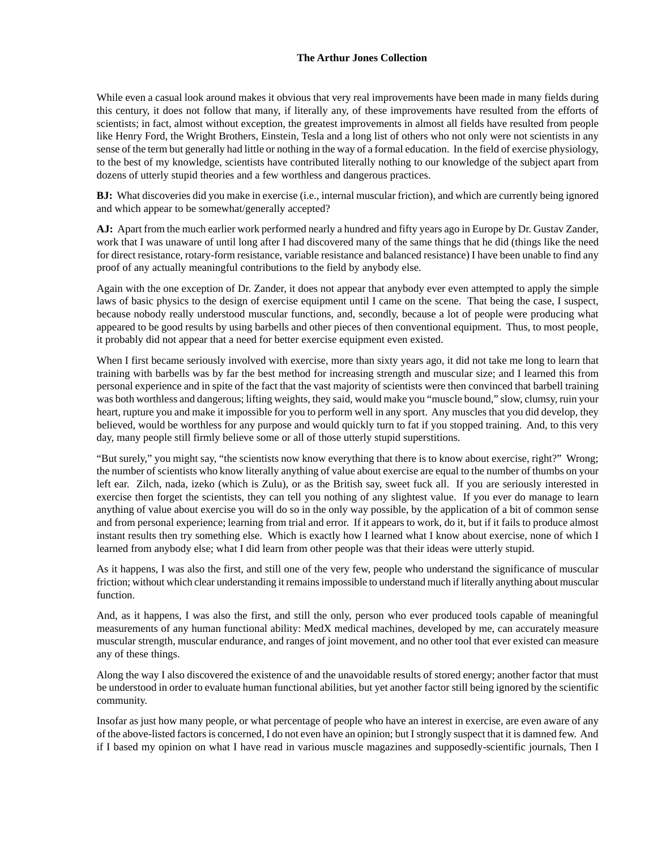While even a casual look around makes it obvious that very real improvements have been made in many fields during this century, it does not follow that many, if literally any, of these improvements have resulted from the efforts of scientists; in fact, almost without exception, the greatest improvements in almost all fields have resulted from people like Henry Ford, the Wright Brothers, Einstein, Tesla and a long list of others who not only were not scientists in any sense of the term but generally had little or nothing in the way of a formal education. In the field of exercise physiology, to the best of my knowledge, scientists have contributed literally nothing to our knowledge of the subject apart from dozens of utterly stupid theories and a few worthless and dangerous practices.

**BJ:** What discoveries did you make in exercise (i.e., internal muscular friction), and which are currently being ignored and which appear to be somewhat/generally accepted?

**AJ:** Apart from the much earlier work performed nearly a hundred and fifty years ago in Europe by Dr. Gustav Zander, work that I was unaware of until long after I had discovered many of the same things that he did (things like the need for direct resistance, rotary-form resistance, variable resistance and balanced resistance) I have been unable to find any proof of any actually meaningful contributions to the field by anybody else.

Again with the one exception of Dr. Zander, it does not appear that anybody ever even attempted to apply the simple laws of basic physics to the design of exercise equipment until I came on the scene. That being the case, I suspect, because nobody really understood muscular functions, and, secondly, because a lot of people were producing what appeared to be good results by using barbells and other pieces of then conventional equipment. Thus, to most people, it probably did not appear that a need for better exercise equipment even existed.

When I first became seriously involved with exercise, more than sixty years ago, it did not take me long to learn that training with barbells was by far the best method for increasing strength and muscular size; and I learned this from personal experience and in spite of the fact that the vast majority of scientists were then convinced that barbell training was both worthless and dangerous; lifting weights, they said, would make you "muscle bound," slow, clumsy, ruin your heart, rupture you and make it impossible for you to perform well in any sport. Any muscles that you did develop, they believed, would be worthless for any purpose and would quickly turn to fat if you stopped training. And, to this very day, many people still firmly believe some or all of those utterly stupid superstitions.

"But surely," you might say, "the scientists now know everything that there is to know about exercise, right?" Wrong; the number of scientists who know literally anything of value about exercise are equal to the number of thumbs on your left ear. Zilch, nada, izeko (which is Zulu), or as the British say, sweet fuck all. If you are seriously interested in exercise then forget the scientists, they can tell you nothing of any slightest value. If you ever do manage to learn anything of value about exercise you will do so in the only way possible, by the application of a bit of common sense and from personal experience; learning from trial and error. If it appears to work, do it, but if it fails to produce almost instant results then try something else. Which is exactly how I learned what I know about exercise, none of which I learned from anybody else; what I did learn from other people was that their ideas were utterly stupid.

As it happens, I was also the first, and still one of the very few, people who understand the significance of muscular friction; without which clear understanding it remains impossible to understand much if literally anything about muscular function.

And, as it happens, I was also the first, and still the only, person who ever produced tools capable of meaningful measurements of any human functional ability: MedX medical machines, developed by me, can accurately measure muscular strength, muscular endurance, and ranges of joint movement, and no other tool that ever existed can measure any of these things.

Along the way I also discovered the existence of and the unavoidable results of stored energy; another factor that must be understood in order to evaluate human functional abilities, but yet another factor still being ignored by the scientific community.

Insofar as just how many people, or what percentage of people who have an interest in exercise, are even aware of any of the above-listed factors is concerned, I do not even have an opinion; but I strongly suspect that it is damned few. And if I based my opinion on what I have read in various muscle magazines and supposedly-scientific journals, Then I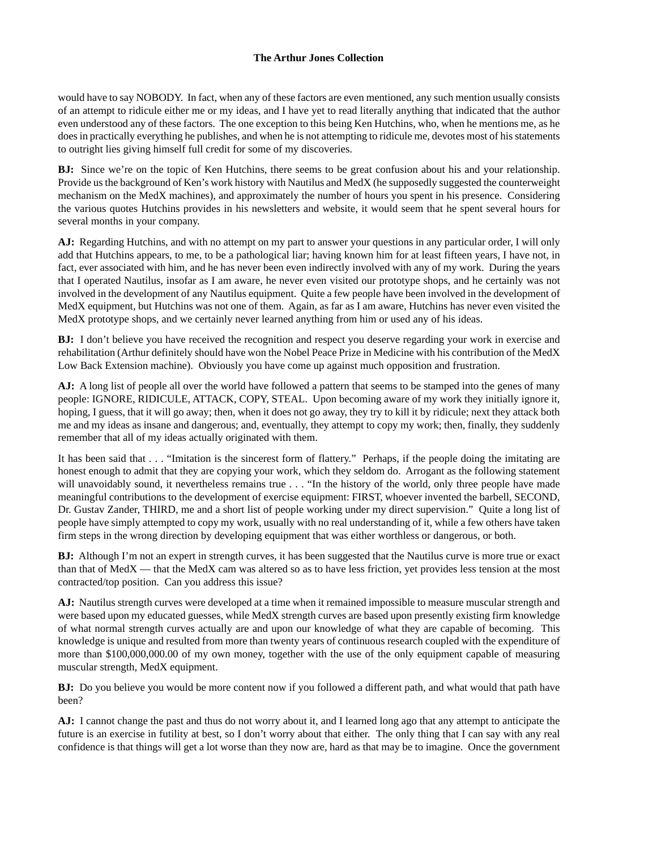would have to say NOBODY. In fact, when any of these factors are even mentioned, any such mention usually consists of an attempt to ridicule either me or my ideas, and I have yet to read literally anything that indicated that the author even understood any of these factors. The one exception to this being Ken Hutchins, who, when he mentions me, as he does in practically everything he publishes, and when he is not attempting to ridicule me, devotes most of his statements to outright lies giving himself full credit for some of my discoveries.

**BJ:** Since we're on the topic of Ken Hutchins, there seems to be great confusion about his and your relationship. Provide us the background of Ken's work history with Nautilus and MedX (he supposedly suggested the counterweight mechanism on the MedX machines), and approximately the number of hours you spent in his presence. Considering the various quotes Hutchins provides in his newsletters and website, it would seem that he spent several hours for several months in your company.

**AJ:** Regarding Hutchins, and with no attempt on my part to answer your questions in any particular order, I will only add that Hutchins appears, to me, to be a pathological liar; having known him for at least fifteen years, I have not, in fact, ever associated with him, and he has never been even indirectly involved with any of my work. During the years that I operated Nautilus, insofar as I am aware, he never even visited our prototype shops, and he certainly was not involved in the development of any Nautilus equipment. Quite a few people have been involved in the development of MedX equipment, but Hutchins was not one of them. Again, as far as I am aware, Hutchins has never even visited the MedX prototype shops, and we certainly never learned anything from him or used any of his ideas.

**BJ:** I don't believe you have received the recognition and respect you deserve regarding your work in exercise and rehabilitation (Arthur definitely should have won the Nobel Peace Prize in Medicine with his contribution of the MedX Low Back Extension machine). Obviously you have come up against much opposition and frustration.

AJ: A long list of people all over the world have followed a pattern that seems to be stamped into the genes of many people: IGNORE, RIDICULE, ATTACK, COPY, STEAL. Upon becoming aware of my work they initially ignore it, hoping, I guess, that it will go away; then, when it does not go away, they try to kill it by ridicule; next they attack both me and my ideas as insane and dangerous; and, eventually, they attempt to copy my work; then, finally, they suddenly remember that all of my ideas actually originated with them.

It has been said that . . . "Imitation is the sincerest form of flattery." Perhaps, if the people doing the imitating are honest enough to admit that they are copying your work, which they seldom do. Arrogant as the following statement will unavoidably sound, it nevertheless remains true . . . "In the history of the world, only three people have made meaningful contributions to the development of exercise equipment: FIRST, whoever invented the barbell, SECOND, Dr. Gustav Zander, THIRD, me and a short list of people working under my direct supervision." Quite a long list of people have simply attempted to copy my work, usually with no real understanding of it, while a few others have taken firm steps in the wrong direction by developing equipment that was either worthless or dangerous, or both.

**BJ:** Although I'm not an expert in strength curves, it has been suggested that the Nautilus curve is more true or exact than that of MedX — that the MedX cam was altered so as to have less friction, yet provides less tension at the most contracted/top position. Can you address this issue?

**AJ:** Nautilus strength curves were developed at a time when it remained impossible to measure muscular strength and were based upon my educated guesses, while MedX strength curves are based upon presently existing firm knowledge of what normal strength curves actually are and upon our knowledge of what they are capable of becoming. This knowledge is unique and resulted from more than twenty years of continuous research coupled with the expenditure of more than \$100,000,000.00 of my own money, together with the use of the only equipment capable of measuring muscular strength, MedX equipment.

**BJ:** Do you believe you would be more content now if you followed a different path, and what would that path have been?

**AJ:** I cannot change the past and thus do not worry about it, and I learned long ago that any attempt to anticipate the future is an exercise in futility at best, so I don't worry about that either. The only thing that I can say with any real confidence is that things will get a lot worse than they now are, hard as that may be to imagine. Once the government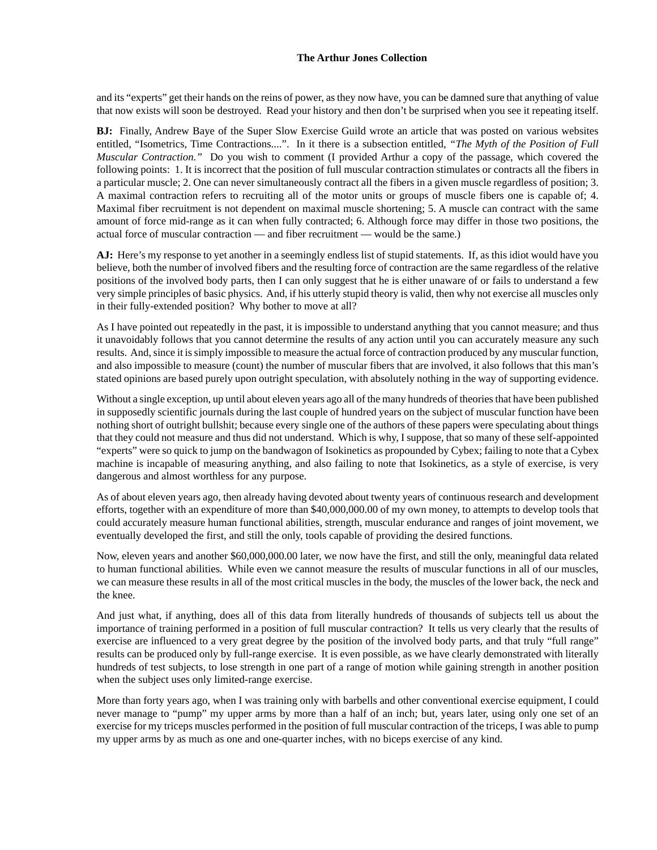and its "experts" get their hands on the reins of power, as they now have, you can be damned sure that anything of value that now exists will soon be destroyed. Read your history and then don't be surprised when you see it repeating itself.

**BJ:** Finally, Andrew Baye of the Super Slow Exercise Guild wrote an article that was posted on various websites entitled, "Isometrics, Time Contractions....". In it there is a subsection entitled, *"The Myth of the Position of Full Muscular Contraction."* Do you wish to comment (I provided Arthur a copy of the passage, which covered the following points: 1. It is incorrect that the position of full muscular contraction stimulates or contracts all the fibers in a particular muscle; 2. One can never simultaneously contract all the fibers in a given muscle regardless of position; 3. A maximal contraction refers to recruiting all of the motor units or groups of muscle fibers one is capable of; 4. Maximal fiber recruitment is not dependent on maximal muscle shortening; 5. A muscle can contract with the same amount of force mid-range as it can when fully contracted; 6. Although force may differ in those two positions, the actual force of muscular contraction — and fiber recruitment — would be the same.)

**AJ:** Here's my response to yet another in a seemingly endless list of stupid statements. If, as this idiot would have you believe, both the number of involved fibers and the resulting force of contraction are the same regardless of the relative positions of the involved body parts, then I can only suggest that he is either unaware of or fails to understand a few very simple principles of basic physics. And, if his utterly stupid theory is valid, then why not exercise all muscles only in their fully-extended position? Why bother to move at all?

As I have pointed out repeatedly in the past, it is impossible to understand anything that you cannot measure; and thus it unavoidably follows that you cannot determine the results of any action until you can accurately measure any such results. And, since it is simply impossible to measure the actual force of contraction produced by any muscular function, and also impossible to measure (count) the number of muscular fibers that are involved, it also follows that this man's stated opinions are based purely upon outright speculation, with absolutely nothing in the way of supporting evidence.

Without a single exception, up until about eleven years ago all of the many hundreds of theories that have been published in supposedly scientific journals during the last couple of hundred years on the subject of muscular function have been nothing short of outright bullshit; because every single one of the authors of these papers were speculating about things that they could not measure and thus did not understand. Which is why, I suppose, that so many of these self-appointed "experts" were so quick to jump on the bandwagon of Isokinetics as propounded by Cybex; failing to note that a Cybex machine is incapable of measuring anything, and also failing to note that Isokinetics, as a style of exercise, is very dangerous and almost worthless for any purpose.

As of about eleven years ago, then already having devoted about twenty years of continuous research and development efforts, together with an expenditure of more than \$40,000,000.00 of my own money, to attempts to develop tools that could accurately measure human functional abilities, strength, muscular endurance and ranges of joint movement, we eventually developed the first, and still the only, tools capable of providing the desired functions.

Now, eleven years and another \$60,000,000.00 later, we now have the first, and still the only, meaningful data related to human functional abilities. While even we cannot measure the results of muscular functions in all of our muscles, we can measure these results in all of the most critical muscles in the body, the muscles of the lower back, the neck and the knee.

And just what, if anything, does all of this data from literally hundreds of thousands of subjects tell us about the importance of training performed in a position of full muscular contraction? It tells us very clearly that the results of exercise are influenced to a very great degree by the position of the involved body parts, and that truly "full range" results can be produced only by full-range exercise. It is even possible, as we have clearly demonstrated with literally hundreds of test subjects, to lose strength in one part of a range of motion while gaining strength in another position when the subject uses only limited-range exercise.

More than forty years ago, when I was training only with barbells and other conventional exercise equipment, I could never manage to "pump" my upper arms by more than a half of an inch; but, years later, using only one set of an exercise for my triceps muscles performed in the position of full muscular contraction of the triceps, I was able to pump my upper arms by as much as one and one-quarter inches, with no biceps exercise of any kind.